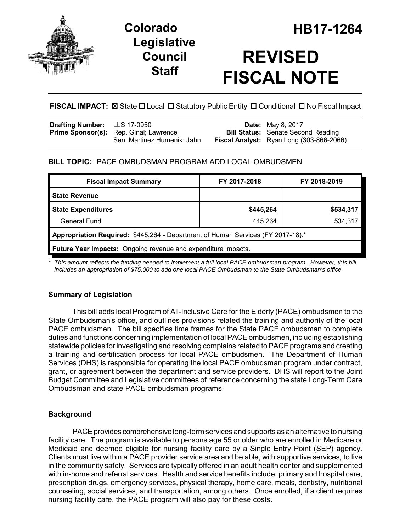

## **Legislative Council Staff**



# **REVISED FISCAL NOTE**

## **FISCAL IMPACT:**  $\boxtimes$  State  $\Box$  Local  $\Box$  Statutory Public Entity  $\Box$  Conditional  $\Box$  No Fiscal Impact

| <b>Drafting Number:</b> LLS 17-0950 |                                               | <b>Date:</b> May 8, 2017                        |
|-------------------------------------|-----------------------------------------------|-------------------------------------------------|
|                                     | <b>Prime Sponsor(s):</b> Rep. Ginal; Lawrence | <b>Bill Status:</b> Senate Second Reading       |
|                                     | Sen. Martinez Humenik; Jahn                   | <b>Fiscal Analyst:</b> Ryan Long (303-866-2066) |

## **BILL TOPIC:** PACE OMBUDSMAN PROGRAM ADD LOCAL OMBUDSMEN

| <b>Fiscal Impact Summary</b>                                                    | FY 2017-2018 | FY 2018-2019 |  |  |  |
|---------------------------------------------------------------------------------|--------------|--------------|--|--|--|
| <b>State Revenue</b>                                                            |              |              |  |  |  |
| <b>State Expenditures</b>                                                       | \$445,264    | \$534,317    |  |  |  |
| General Fund                                                                    | 445.264      | 534,317      |  |  |  |
| Appropriation Required: \$445,264 - Department of Human Services (FY 2017-18).* |              |              |  |  |  |
| <b>Future Year Impacts:</b> Ongoing revenue and expenditure impacts.            |              |              |  |  |  |

*\* This amount reflects the funding needed to implement a full local PACE ombudsman program. However, this bill includes an appropriation of \$75,000 to add one local PACE Ombudsman to the State Ombudsman's office.* 

## **Summary of Legislation**

This bill adds local Program of All-Inclusive Care for the Elderly (PACE) ombudsmen to the State Ombudsman's office, and outlines provisions related the training and authority of the local PACE ombudsmen. The bill specifies time frames for the State PACE ombudsman to complete duties and functions concerning implementation of local PACE ombudsmen, including establishing statewide policies for investigating and resolving complains related to PACE programs and creating a training and certification process for local PACE ombudsmen. The Department of Human Services (DHS) is responsible for operating the local PACE ombudsman program under contract, grant, or agreement between the department and service providers. DHS will report to the Joint Budget Committee and Legislative committees of reference concerning the state Long-Term Care Ombudsman and state PACE ombudsman programs.

## **Background**

PACE provides comprehensive long-term services and supports as an alternative to nursing facility care. The program is available to persons age 55 or older who are enrolled in Medicare or Medicaid and deemed eligible for nursing facility care by a Single Entry Point (SEP) agency. Clients must live within a PACE provider service area and be able, with supportive services, to live in the community safely. Services are typically offered in an adult health center and supplemented with in-home and referral services. Health and service benefits include: primary and hospital care, prescription drugs, emergency services, physical therapy, home care, meals, dentistry, nutritional counseling, social services, and transportation, among others. Once enrolled, if a client requires nursing facility care, the PACE program will also pay for these costs.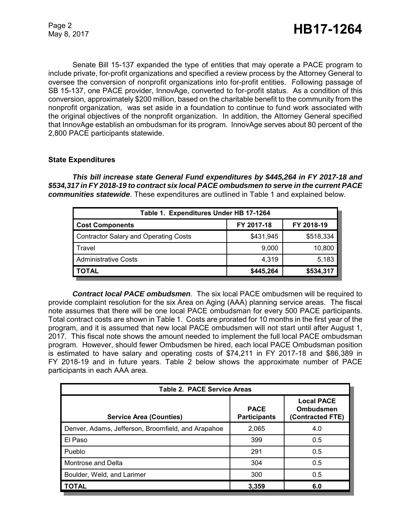Senate Bill 15-137 expanded the type of entities that may operate a PACE program to include private, for-profit organizations and specified a review process by the Attorney General to oversee the conversion of nonprofit organizations into for-profit entities. Following passage of SB 15-137, one PACE provider, InnovAge, converted to for-profit status. As a condition of this conversion, approximately \$200 million, based on the charitable benefit to the community from the nonprofit organization, was set aside in a foundation to continue to fund work associated with the original objectives of the nonprofit organization. In addition, the Attorney General specified that InnovAge establish an ombudsman for its program. InnovAge serves about 80 percent of the 2,800 PACE participants statewide.

#### **State Expenditures**

*This bill increase state General Fund expenditures by \$445,264 in FY 2017-18 and \$534,317 in FY 2018-19 to contract six local PACE ombudsmen to serve in the current PACE communities statewide*. These expenditures are outlined in Table 1 and explained below.

| Table 1. Expenditures Under HB 17-1264 |            |            |  |  |  |
|----------------------------------------|------------|------------|--|--|--|
| <b>Cost Components</b>                 | FY 2017-18 | FY 2018-19 |  |  |  |
| Contractor Salary and Operating Costs  | \$431,945  | \$518,334  |  |  |  |
| l Travel                               | 9,000      | 10,800     |  |  |  |
| <b>Administrative Costs</b>            | 4.319      | 5,183      |  |  |  |
| <b>TOTAL</b>                           | \$445,264  | \$534,317  |  |  |  |

*Contract local PACE ombudsmen*. The six local PACE ombudsmen will be required to provide complaint resolution for the six Area on Aging (AAA) planning service areas. The fiscal note assumes that there will be one local PACE ombudsman for every 500 PACE participants. Total contract costs are shown in Table 1. Costs are prorated for 10 months in the first year of the program, and it is assumed that new local PACE ombudsmen will not start until after August 1, 2017. This fiscal note shows the amount needed to implement the full local PACE ombudsman program. However, should fewer Ombudsmen be hired, each local PACE Ombudsman position is estimated to have salary and operating costs of \$74,211 in FY 2017-18 and \$86,389 in FY 2018-19 and in future years. Table 2 below shows the approximate number of PACE participants in each AAA area.

| <b>Table 2. PACE Service Areas</b>                 |                                    |                                                    |  |  |  |
|----------------------------------------------------|------------------------------------|----------------------------------------------------|--|--|--|
| <b>Service Area (Counties)</b>                     | <b>PACE</b><br><b>Participants</b> | <b>Local PACE</b><br>Ombudsmen<br>(Contracted FTE) |  |  |  |
| Denver, Adams, Jefferson, Broomfield, and Arapahoe | 2,065                              | 4.0                                                |  |  |  |
| El Paso                                            | 399                                | 0.5                                                |  |  |  |
| Pueblo                                             | 291                                | 0.5                                                |  |  |  |
| Montrose and Delta                                 | 304                                | 0.5                                                |  |  |  |
| Boulder, Weld, and Larimer                         | 300                                | 0.5                                                |  |  |  |
| <b>TOTAL</b>                                       | 3,359                              | 6.0                                                |  |  |  |